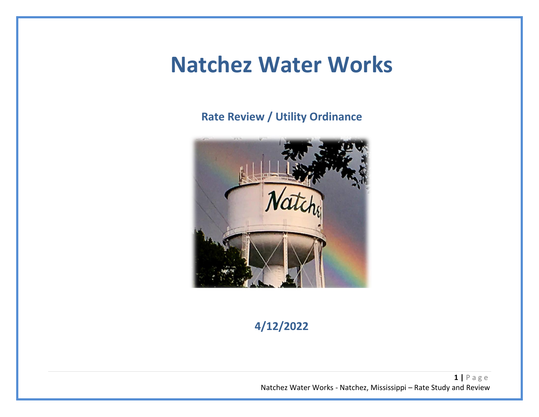## **Natchez Water Works**

**Rate Review / Utility Ordinance**



**4/12/2022**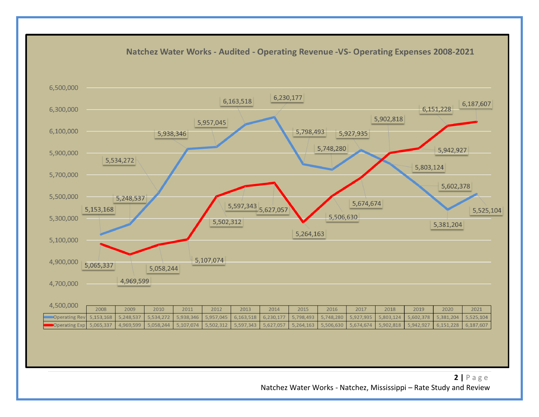

Natchez Water Works - Natchez, Mississippi – Rate Study and Review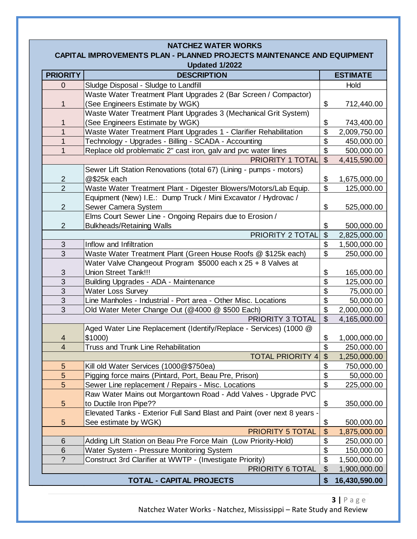| <b>NATCHEZ WATER WORKS</b>                                             |                                                                                                      |                           |                            |  |  |  |  |
|------------------------------------------------------------------------|------------------------------------------------------------------------------------------------------|---------------------------|----------------------------|--|--|--|--|
| CAPITAL IMPROVEMENTS PLAN - PLANNED PROJECTS MAINTENANCE AND EQUIPMENT |                                                                                                      |                           |                            |  |  |  |  |
| Updated 1/2022                                                         |                                                                                                      |                           |                            |  |  |  |  |
| <b>PRIORITY</b>                                                        | <b>DESCRIPTION</b>                                                                                   | <b>ESTIMATE</b>           |                            |  |  |  |  |
| 0                                                                      | Sludge Disposal - Sludge to Landfill                                                                 |                           | Hold                       |  |  |  |  |
|                                                                        | Waste Water Treatment Plant Upgrades 2 (Bar Screen / Compactor)                                      |                           |                            |  |  |  |  |
| 1                                                                      | (See Engineers Estimate by WGK)                                                                      | \$                        | 712,440.00                 |  |  |  |  |
|                                                                        | Waste Water Treatment Plant Upgrades 3 (Mechanical Grit System)                                      |                           |                            |  |  |  |  |
| 1<br>$\mathbf{1}$                                                      | (See Engineers Estimate by WGK)<br>Waste Water Treatment Plant Upgrades 1 - Clarifier Rehabilitation | \$<br>\$                  | 743,400.00<br>2,009,750.00 |  |  |  |  |
| $\overline{1}$                                                         | Technology - Upgrades - Billing - SCADA - Accounting                                                 | \$                        | 450,000.00                 |  |  |  |  |
| $\overline{1}$                                                         | Replace old problematic 2" cast iron, galv and pvc water lines                                       | $\mathfrak{S}$            | 500,000.00                 |  |  |  |  |
|                                                                        | PRIORITY 1 TOTAL                                                                                     | $\mathbb{S}$              | 4,415,590.00               |  |  |  |  |
|                                                                        | Sewer Lift Station Renovations (total 67) (Lining - pumps - motors)                                  |                           |                            |  |  |  |  |
| $\overline{2}$                                                         | @\$25k each                                                                                          | \$                        | 1,675,000.00               |  |  |  |  |
| $\overline{2}$                                                         | Waste Water Treatment Plant - Digester Blowers/Motors/Lab Equip.                                     | $\mathfrak{S}$            | 125,000.00                 |  |  |  |  |
|                                                                        | Equipment (New) I.E.: Dump Truck / Mini Excavator / Hydrovac /                                       |                           |                            |  |  |  |  |
| 2                                                                      | Sewer Camera System                                                                                  | \$                        | 525,000.00                 |  |  |  |  |
|                                                                        | Elms Court Sewer Line - Ongoing Repairs due to Erosion /                                             |                           |                            |  |  |  |  |
| 2                                                                      | <b>Bulkheads/Retaining Walls</b>                                                                     | \$                        | 500,000.00                 |  |  |  |  |
|                                                                        | PRIORITY 2 TOTAL                                                                                     | $\mathfrak{S}$            | 2,825,000.00               |  |  |  |  |
| 3                                                                      | Inflow and Infiltration                                                                              | \$                        | 1,500,000.00               |  |  |  |  |
| 3                                                                      | Waste Water Treatment Plant (Green House Roofs @ \$125k each)                                        | $\mathfrak{L}$            | 250,000.00                 |  |  |  |  |
|                                                                        | Water Valve Changeout Program \$5000 each x 25 + 8 Valves at                                         |                           |                            |  |  |  |  |
| 3                                                                      | <b>Union Street Tank!!!</b>                                                                          | \$                        | 165,000.00                 |  |  |  |  |
| 3                                                                      | Building Upgrades - ADA - Maintenance                                                                | \$                        | 125,000.00                 |  |  |  |  |
| 3<br>3                                                                 | <b>Water Loss Survey</b><br>Line Manholes - Industrial - Port area - Other Misc. Locations           | \$<br>\$                  | 75,000.00                  |  |  |  |  |
| 3                                                                      | Old Water Meter Change Out (@4000 @ \$500 Each)                                                      | $\boldsymbol{\mathsf{S}}$ | 50,000.00<br>2,000,000.00  |  |  |  |  |
|                                                                        | PRIORITY 3 TOTAL                                                                                     | $\mathfrak{S}$            | 4,165,000.00               |  |  |  |  |
|                                                                        | Aged Water Line Replacement (Identify/Replace - Services) (1000 @                                    |                           |                            |  |  |  |  |
| 4                                                                      | \$1000)                                                                                              | \$                        | 1,000,000.00               |  |  |  |  |
| 4                                                                      | Truss and Trunk Line Rehabilitation                                                                  | \$                        | 250,000.00                 |  |  |  |  |
|                                                                        | <b>TOTAL PRIORITY 4</b>                                                                              | $\boldsymbol{\mathsf{S}}$ | 1,250,000.00               |  |  |  |  |
| $\overline{5}$                                                         | Kill old Water Services (1000@\$750ea)                                                               | \$                        | 750,000.00                 |  |  |  |  |
| 5                                                                      | Pigging force mains (Pintard, Port, Beau Pre, Prison)                                                | \$                        | 50,000.00                  |  |  |  |  |
| 5                                                                      | Sewer Line replacement / Repairs - Misc. Locations                                                   | $\boldsymbol{\mathsf{S}}$ | 225,000.00                 |  |  |  |  |
|                                                                        | Raw Water Mains out Morgantown Road - Add Valves - Upgrade PVC                                       |                           |                            |  |  |  |  |
| 5                                                                      | to Ductile Iron Pipe??                                                                               | \$                        | 350,000.00                 |  |  |  |  |
|                                                                        | Elevated Tanks - Exterior Full Sand Blast and Paint (over next 8 years -                             |                           |                            |  |  |  |  |
| $5\phantom{.0}$                                                        | See estimate by WGK)                                                                                 | \$                        | 500,000.00                 |  |  |  |  |
|                                                                        | <b>PRIORITY 5 TOTAL</b>                                                                              | $\boldsymbol{\mathsf{S}}$ | 1,875,000.00               |  |  |  |  |
| 6                                                                      | Adding Lift Station on Beau Pre Force Main (Low Priority-Hold)                                       | \$                        | 250,000.00                 |  |  |  |  |
| 6                                                                      | Water System - Pressure Monitoring System                                                            | \$                        | 150,000.00                 |  |  |  |  |
| $\overline{?}$                                                         | Construct 3rd Clarifier at WWTP - (Investigate Priority)<br>PRIORITY 6 TOTAL                         | \$                        | 1,500,000.00               |  |  |  |  |
|                                                                        | \$                                                                                                   | 1,900,000.00              |                            |  |  |  |  |
|                                                                        | \$                                                                                                   | 16,430,590.00             |                            |  |  |  |  |

Natchez Water Works - Natchez, Mississippi – Rate Study and Review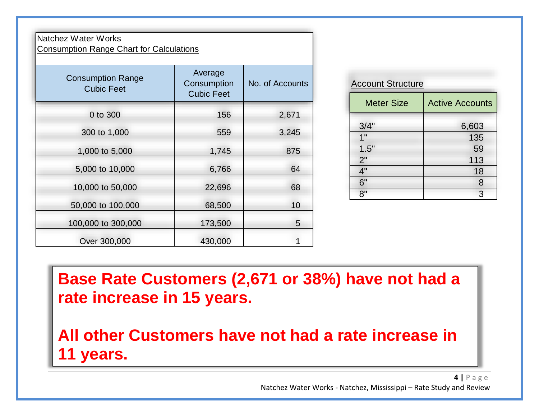### Natchez Water Works Consumption Range Chart for Calculations

| <b>Consumption Range</b><br><b>Cubic Feet</b> | Average<br>Consumption<br><b>Cubic Feet</b> | No. of Accounts |  |
|-----------------------------------------------|---------------------------------------------|-----------------|--|
| 0 to 300                                      | 156                                         | 2,671           |  |
| 300 to 1,000                                  | 559                                         | 3,245           |  |
| 1,000 to 5,000                                | 1,745                                       | 875             |  |
| 5,000 to 10,000                               | 6,766                                       | 64              |  |
| 10,000 to 50,000                              | 22,696                                      | 68              |  |
| 50,000 to 100,000                             | 68,500                                      | 10              |  |
| 100,000 to 300,000                            | 173,500                                     | 5               |  |
| Over 300,000                                  | 430,000                                     |                 |  |

| <b>Account Structure</b> |                        |  |  |  |
|--------------------------|------------------------|--|--|--|
| <b>Meter Size</b>        | <b>Active Accounts</b> |  |  |  |
| 3/4"                     | 6,603                  |  |  |  |
| 1"                       | 135                    |  |  |  |
| 1.5"                     | 59                     |  |  |  |
| 2"                       | 113                    |  |  |  |
| 4"                       | 18                     |  |  |  |
| 6"                       | 8                      |  |  |  |
| R''                      | 3                      |  |  |  |

**Base Rate Customers (2,671 or 38%) have not had a rate increase in 15 years.**

**All other Customers have not had a rate increase in 11 years.**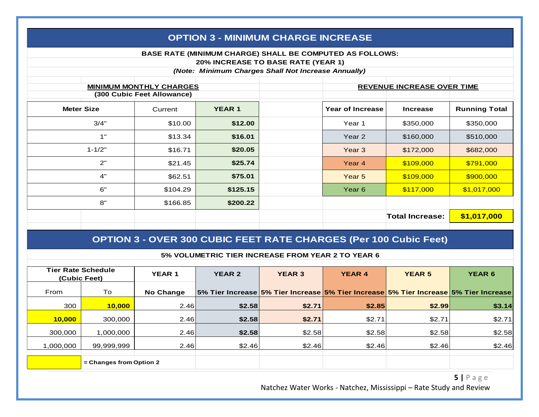|                   | <b>OPTION 3 - MINIMUM CHARGE INCREASE</b>                                                                                                             |          |               |  |                   |                                   |                      |  |
|-------------------|-------------------------------------------------------------------------------------------------------------------------------------------------------|----------|---------------|--|-------------------|-----------------------------------|----------------------|--|
|                   | BASE RATE (MINIMUM CHARGE) SHALL BE COMPUTED AS FOLLOWS:<br>20% INCREASE TO BASE RATE (YEAR 1)<br>(Note: Minimum Charges Shall Not Increase Annually) |          |               |  |                   |                                   |                      |  |
|                   | <b>MINIMUM MONTHLY CHARGES</b><br>(300 Cubic Feet Allowance)                                                                                          |          |               |  |                   | <b>REVENUE INCREASE OVER TIME</b> |                      |  |
| <b>Meter Size</b> |                                                                                                                                                       | Current  | <b>YEAR 1</b> |  | Year of Increase  | <b>Increase</b>                   | <b>Running Total</b> |  |
|                   | 3/4"                                                                                                                                                  | \$10.00  | \$12.00       |  | Year 1            | \$350,000                         | \$350,000            |  |
|                   | 1"                                                                                                                                                    | \$13.34  | \$16.01       |  | Year 2            | \$160,000                         | \$510,000            |  |
|                   | $1 - 1/2"$                                                                                                                                            | \$16.71  | \$20.05       |  | Year <sub>3</sub> | \$172,000                         | \$682,000            |  |
|                   | 2"                                                                                                                                                    | \$21.45  | \$25.74       |  | Year <sub>4</sub> | \$109,000                         | \$791,000            |  |
|                   | 4"                                                                                                                                                    | \$62.51  | \$75.01       |  | Year 5            | \$109,000                         | \$900,000            |  |
|                   | 6"                                                                                                                                                    | \$104.29 | \$125.15      |  | Year 6            | \$117,000                         | \$1,017,000          |  |
|                   | 8"                                                                                                                                                    | \$166.85 | \$200.22      |  |                   |                                   |                      |  |
|                   |                                                                                                                                                       |          |               |  |                   | <b>Total Increase:</b>            | \$1,017,000          |  |

### **OPTION 3 - OVER 300 CUBIC FEET RATE CHARGES (Per 100 Cubic Feet)**

#### **5% VOLUMETRIC TIER INCREASE FROM YEAR 2 TO YEAR 6**

| <b>Tier Rate Schedule</b><br>(Cubic Feet) |                         | <b>YEAR 1</b>    | <b>YEAR 2</b>                                                                        | <b>YEAR 3</b> | <b>YEAR 4</b> | <b>YEAR 5</b> | <b>YEAR 6</b> |
|-------------------------------------------|-------------------------|------------------|--------------------------------------------------------------------------------------|---------------|---------------|---------------|---------------|
| From                                      | To                      | <b>No Change</b> | 5% Tier Increase 5% Tier Increase 5% Tier Increase 5% Tier Increase 5% Tier Increase |               |               |               |               |
| 300                                       | 10,000                  | 2.46             | \$2.58                                                                               | \$2.71        | \$2.85        | \$2.99        | \$3.14        |
| 10,000                                    | 300,000                 | 2.46             | \$2.58                                                                               | \$2.71        | \$2.71        | \$2.71        | \$2.71        |
| 300,000                                   | 1,000,000               | 2.46             | \$2.58                                                                               | \$2.58        | \$2.58        | \$2.58        | \$2.58        |
| 1,000,000                                 | 99,999,999              | 2.46             | \$2.46                                                                               | \$2.46        | \$2.46        | \$2.46        | \$2.46        |
|                                           | = Changes from Option 2 |                  |                                                                                      |               |               |               |               |

**5 |** P a g e Natchez Water Works - Natchez, Mississippi – Rate Study and Review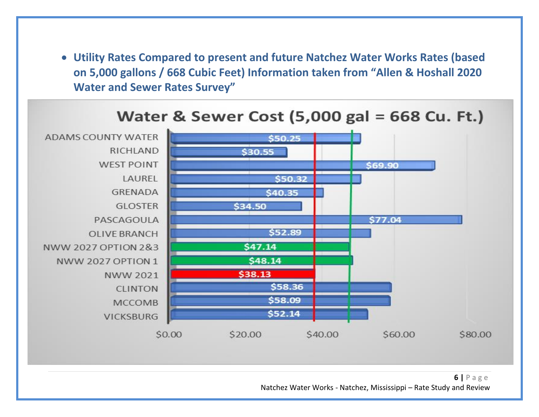• **Utility Rates Compared to present and future Natchez Water Works Rates (based on 5,000 gallons / 668 Cubic Feet) Information taken from "Allen & Hoshall 2020 Water and Sewer Rates Survey"**

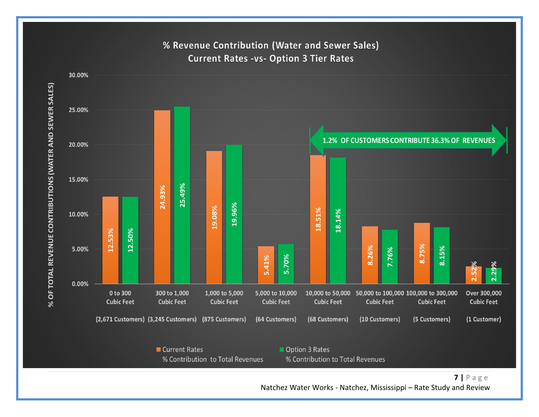

% Revenue Contribution (Water and Sewer Sales) **Current Rates -vs- Option 3 Tier Rates** 

Natchez Water Works - Natchez, Mississippi – Rate Study and Review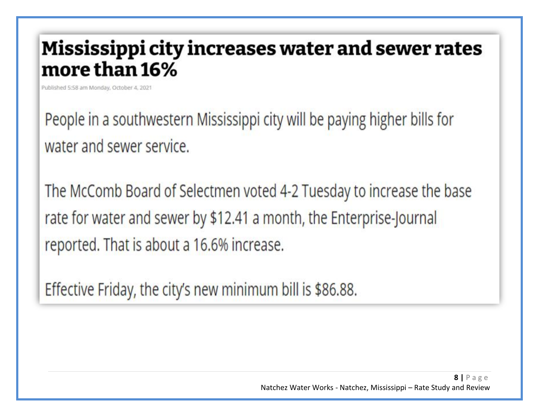## Mississippi city increases water and sewer rates more than 16%

Published 5:58 am Monday, October 4, 2021

People in a southwestern Mississippi city will be paying higher bills for water and sewer service.

The McComb Board of Selectmen voted 4-2 Tuesday to increase the base rate for water and sewer by \$12.41 a month, the Enterprise-Journal reported. That is about a 16.6% increase.

Effective Friday, the city's new minimum bill is \$86.88.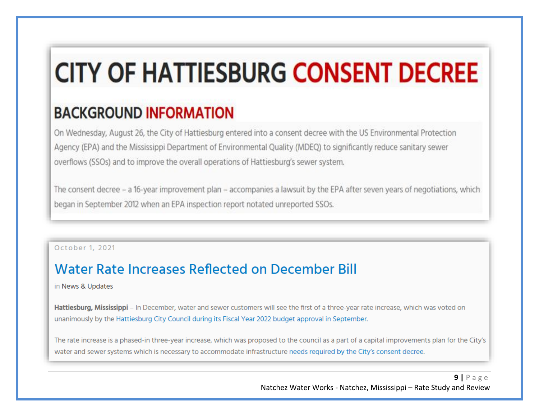# **CITY OF HATTIESBURG CONSENT DECREE**

## **BACKGROUND INFORMATION**

On Wednesday, August 26, the City of Hattiesburg entered into a consent decree with the US Environmental Protection Agency (EPA) and the Mississippi Department of Environmental Quality (MDEQ) to significantly reduce sanitary sewer overflows (SSOs) and to improve the overall operations of Hattiesburg's sewer system.

The consent decree - a 16-year improvement plan - accompanies a lawsuit by the EPA after seven years of negotiations, which began in September 2012 when an EPA inspection report notated unreported SSOs.

October 1, 2021

### Water Rate Increases Reflected on December Bill

in News & Updates

Hattiesburg, Mississippi - In December, water and sewer customers will see the first of a three-year rate increase, which was voted on unanimously by the Hattiesburg City Council during its Fiscal Year 2022 budget approval in September.

The rate increase is a phased-in three-year increase, which was proposed to the council as a part of a capital improvements plan for the City's water and sewer systems which is necessary to accommodate infrastructure needs required by the City's consent decree.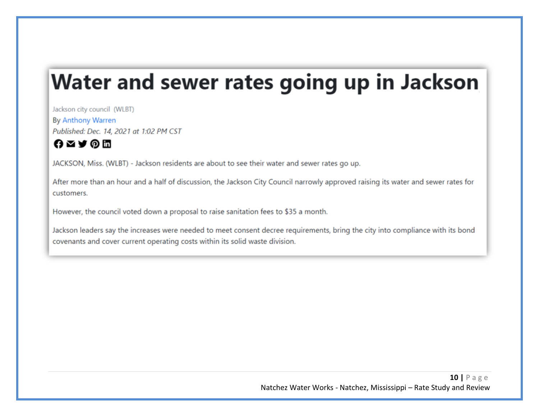## Water and sewer rates going up in Jackson

Jackson city council (WLBT) By Anthony Warren Published: Dec. 14, 2021 at 1:02 PM CST

### **O**⊠А⊕Ш

JACKSON, Miss. (WLBT) - Jackson residents are about to see their water and sewer rates go up.

After more than an hour and a half of discussion, the Jackson City Council narrowly approved raising its water and sewer rates for customers.

However, the council voted down a proposal to raise sanitation fees to \$35 a month.

Jackson leaders say the increases were needed to meet consent decree requirements, bring the city into compliance with its bond covenants and cover current operating costs within its solid waste division.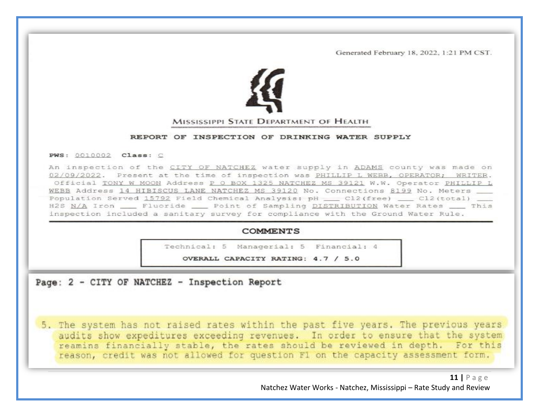Generated February 18, 2022, 1:21 PM CST.



#### REPORT OF INSPECTION OF DRINKING WATER SUPPLY

#### PWS: 0010002 Class: C

An inspection of the CITY OF NATCHEZ water supply in ADAMS county was made on 02/09/2022. Present at the time of inspection was PHILLIP L WEBB, OPERATOR; WRITER. Official TONY W MOON Address P O BOX 1325 NATCHEZ MS 39121 W.W. Operator PHILLIP L WEBB Address 14 HIBISCUS LANE NATCHEZ MS 39120 No. Connections 8199 No. Meters Population Served 15792 Field Chemical Analysis: pH \_\_ Cl2(free) \_\_ Cl2(total) H2S N/A Iron \_\_\_\_ Fluoride \_\_\_\_\_ Point of Sampling DISTRIBUTION Water Rates \_\_\_\_\_ This inspection included a sanitary survey for compliance with the Ground Water Rule.

#### **COMMENTS**

Technical: 5 Managerial: 5 Financial: 4

OVERALL CAPACITY RATING: 4.7 / 5.0

### Page: 2 - CITY OF NATCHEZ - Inspection Report

5. The system has not raised rates within the past five years. The previous years audits show expeditures exceeding revenues. In order to ensure that the system reamins financially stable, the rates should be reviewed in depth. For this reason, credit was not allowed for question F1 on the capacity assessment form.